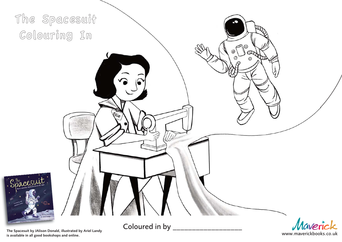

The Spacesuit by JAlison Donald, illustrated by Ariel Landy is available in all good bookshops and online.

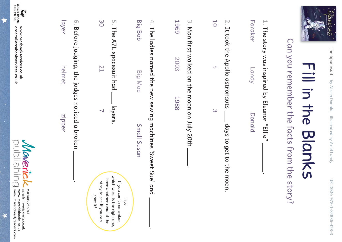



# Can you remember the facts from the story? Can you remember the facts from the story?

| ד<br>ס<br>?                            |
|----------------------------------------|
| ı                                      |
|                                        |
|                                        |
| ĺ                                      |
| ייטוויסטון לחנון לאיי<br>ד<br>רשנ<br>1 |
|                                        |
| l<br>I<br>I                            |
|                                        |

| п<br>oraker                                         |  |
|-----------------------------------------------------|--|
| $\frac{1}{2}$<br>$\overline{\phantom{0}}$           |  |
| J<br><b>DURIAL</b><br><sup>2</sup><br><u>ג</u><br>ś |  |

2. It took the Apollo astronauts It took the Apollo astronauts days to get to the moon. days to get to the moon.

 $\overline{C}$ 

 $\omega$ 

10

3. Man first walked on the moon July 20th Man first walked on the moon on July 20th .

1969 2003 1988

4. The ladies named the new sewing machines 'Sweet Sue' and The ladies named the new sewing machines 'Sweet Sue' and .

Big Bob Big Moe

Small Susan Small Susan

Tip:

30 21  $\overline{\phantom{0}}$ 

5. The A7L spacesuit had

The A7L spacesuit had layers.

layers.

6. Before judging, the judges noticed a broken

layer

helmet

zipper

Before judging, the judges noticed a broken .

which word is the right one, which word is the right one, have another read of the have another read of the story to see if you can If you can't remember story to see if you can If you can't remember spot it!

| して ニコニ                        |                           |                           |                |  |
|-------------------------------|---------------------------|---------------------------|----------------|--|
| \\correspondently readers.com | . Www.maverickpooks.co.uk | sales@mayerick-arts.co.uk | 1.01403 256941 |  |

www.orcabookservices.co.uk orders@orcabookservices.co.uk orders@orcabookservices.co.uk www.orcabookservices.co.uk

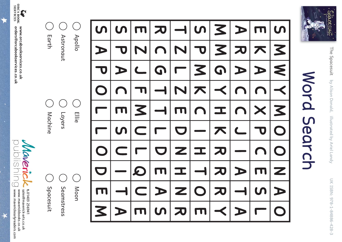

**LA ANDRES** www.orcabookservices.co.uk orders@orcabookservices.co.uk orders@orcabookservices.co.uk www.orcabookservices.co.uk



| <b><i><u>Aachine</u></i></b> | Layers     |
|------------------------------|------------|
| <b>Spacesul</b>              | Seamstress |

Layers

Earth Astronaut

Apollo

P A

 $\bigcap$ 

**M** 

 $\boldsymbol{U}$ 

 $\blacksquare$ 

 $\qquad \qquad$ 

 $\overline{\phantom{a}}$ 

A

 $\boldsymbol{\mathsf{C}}$ 

EZJF

 $\mathbf{Z}$ 

 $\blacksquare$ 

 $\blacksquare$ 

U

 $\blacksquare$ 

Q

E | K | A

A

 $\blacktriangledown$ 

 $\boldsymbol{\mathsf{C}}$ 

 $\overline{\mathbf{U}}$ 

 $\blacktriangledown$ 

TZLZ

**R** 

 $\bigcap$ 

GTTTL<br>JTTL

D

 $\blacksquare$ 

 $\blacktriangleright$ 

ပာ $\mid$ 

E

D

Z

I

N

**D** 

K

 $\bigcap$ 

 $\mathbf I$ 

 $\overline{\phantom{a}}$ 

O

**TTT** 

 $\blacktriangledown$ 

**G** 

 $\prec$   $\mid$ 

エススズ

**R** 

 $\prec$   $\mid$ 

R<br>P

 $\frac{\mathsf{d}}{\mathsf{d}}$ 

 $\begin{array}{c} \textbf{L} \ \textbf{L} \ \textbf{V} \end{array}$ 

 $\frac{1}{\mathbf{A}}$ 

 $\bigcap$ 

 $\frac{\mathsf{x}}{\mathsf{b}}$ 

 $\bigcap$ 

E

 $\boldsymbol{\mathsf{U}}$ 

 $\blacksquare$ 

SMWYMOOO

 $\blacktriangledown$ 

M

 $\blacktriangleleft$ 

ξ

 $\blacktriangleright$ 

Z

O

Word Search

Search

Mord

The Spacesuit

The Spacesuit by Alison Donald, illustrated by Ariel Landy

Spacescutt

by Alison Donald, illustrated by Ariel Landy UK ISBN: 978-1-84886-428-3<br>UK ISBN: 978-1-84886-428-3

UK ISBN: 978-1-84886-428-3

**A**<br>P

O

 $\frac{\Box}{\Box}$ 

O

D

**TT** 

 $\mathbf{Z}$ 

 $\boldsymbol{\mathsf{S}}$ 

Ellie

Moon

 $\bigcap$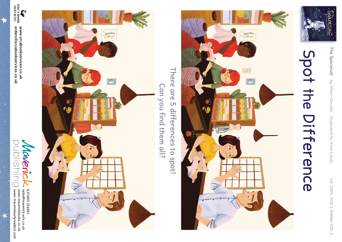

## Spot the Difference



There are 5 differences to spot! There are 5 differences Can you find them all? Can you find them all? to spot!



**Maverick**<br>publishing www.maverickearlyreaders.com sales@maverick-arts.co.uk 1.01403 256941 www.maverickearlyreaders.com www.maverickbooks.co.uk www.maverickbooks.co.uk sales@maverick-arts.co.uk **t.**01403 256941

 $\star$ 

www.orcabookservices.co.uk orders@orcabookservices.co.uk orders@orcabookservices.co.uk www.orcabookservices.co.uk